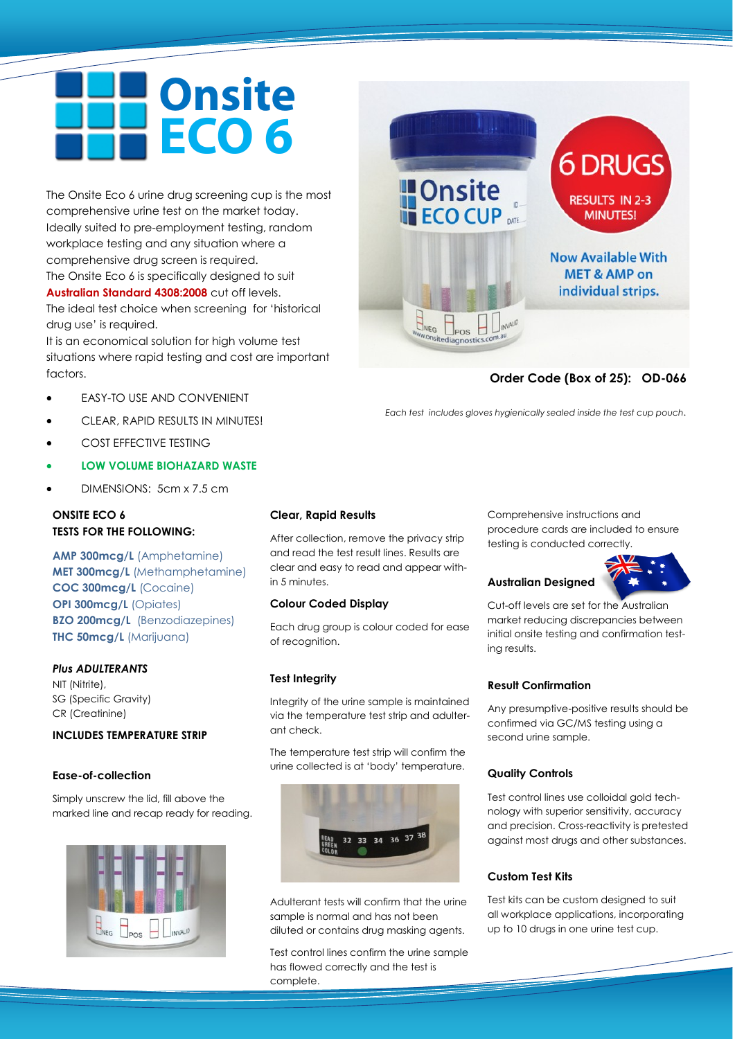# **Onsite** ECO 6

The Onsite Eco 6 urine drug screening cup is the most comprehensive urine test on the market today. Ideally suited to pre-employment testing, random workplace testing and any situation where a comprehensive drug screen is required. The Onsite Eco 6 is specifically designed to suit **Australian Standard 4308:2008** cut off levels. The ideal test choice when screening for 'historical drug use' is required.

It is an economical solution for high volume test situations where rapid testing and cost are important factors.

- EASY-TO USE AND CONVENIENT
- CLEAR, RAPID RESULTS IN MINUTES!
- COST EFFECTIVE TESTING
- **LOW VOLUME BIOHAZARD WASTE**
- DIMENSIONS: 5cm x 7.5 cm

# **ONSITE ECO 6 TESTS FOR THE FOLLOWING:**

**AMP 300mcg/L** (Amphetamine) **MET 300mcg/L** (Methamphetamine) **COC 300mcg/L** (Cocaine) **OPI 300mcg/L (Opiates) BZO 200mcg/L** (Benzodiazepines) **THC 50mcg/L** (Marijuana)

# *Plus ADULTERANTS*

NIT (Nitrite), SG (Specific Gravity) CR (Creatinine)

# **INCLUDES TEMPERATURE STRIP**

#### **Ease-of-collection**

Simply unscrew the lid, fill above the marked line and recap ready for reading.



#### **Clear, Rapid Results**

After collection, remove the privacy strip and read the test result lines. Results are clear and easy to read and appear within 5 minutes.

#### **Colour Coded Display**

Each drug group is colour coded for ease of recognition.

#### **Test Integrity**

Integrity of the urine sample is maintained via the temperature test strip and adulterant check.

The temperature test strip will confirm the urine collected is at 'body' temperature.



Adulterant tests will confirm that the urine sample is normal and has not been diluted or contains drug masking agents.

Test control lines confirm the urine sample has flowed correctly and the test is complete.



# **Order Code (Box of 25): OD-066**

*Each test includes gloves hygienically sealed inside the test cup pouch.* 

Comprehensive instructions and procedure cards are included to ensure testing is conducted correctly.



# **Australian Designed**

Cut-off levels are set for the Australian market reducing discrepancies between initial onsite testing and confirmation testing results.

#### **Result Confirmation**

Any presumptive-positive results should be confirmed via GC/MS testing using a second urine sample.

#### **Quality Controls**

Test control lines use colloidal gold technology with superior sensitivity, accuracy and precision. Cross-reactivity is pretested against most drugs and other substances.

# **Custom Test Kits**

Test kits can be custom designed to suit all workplace applications, incorporating up to 10 drugs in one urine test cup.